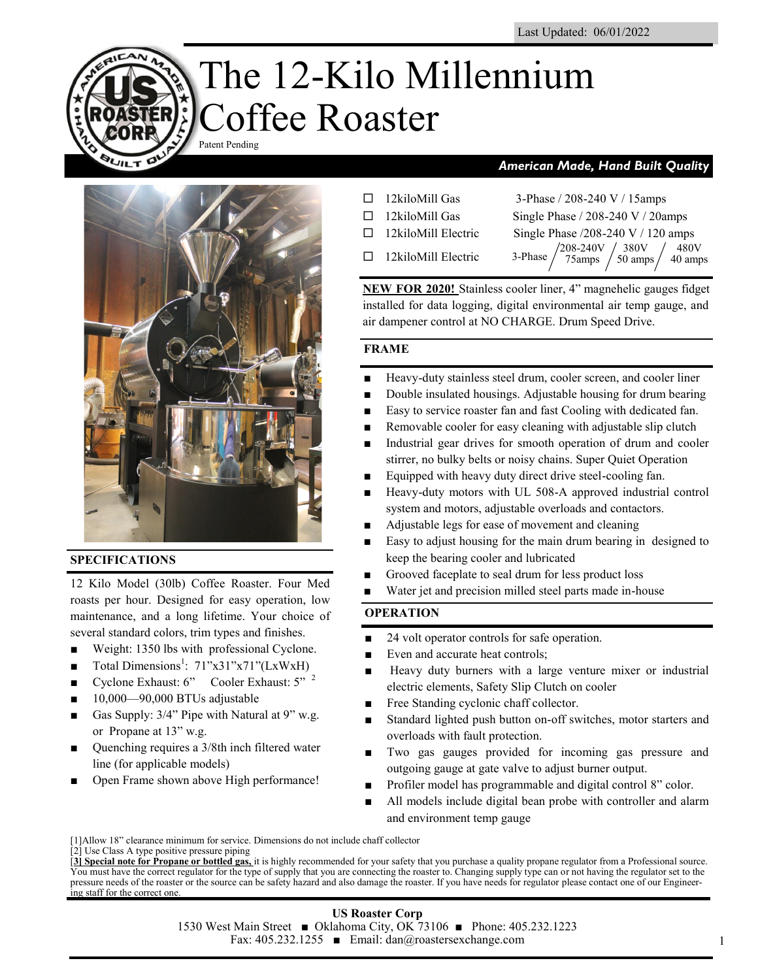# The 12-Kilo Millennium Coffee Roaster Patent Pending



### **SPECIFICATIONS**

**QUILT D** 

12 Kilo Model (30lb) Coffee Roaster. Four Med roasts per hour. Designed for easy operation, low maintenance, and a long lifetime. Your choice of several standard colors, trim types and finishes.

- Weight: 1350 lbs with professional Cyclone.
- Total Dimensions<sup>1</sup>: 71"x31"x71"(LxWxH)
- Cyclone Exhaust: 6" Cooler Exhaust: 5" <sup>2</sup>
- 10,000—90,000 BTUs adjustable
- Gas Supply: 3/4" Pipe with Natural at 9" w.g. or Propane at 13" w.g.
- Quenching requires a 3/8th inch filtered water line (for applicable models)
- Open Frame shown above High performance!

# *American Made, Hand Built Quality*

- $\Box$  12kiloMill Gas 3-Phase / 208-240 V / 15amps
- 
- 
- $\Box$  12kiloMill Electric 3-Phase

 $\Box$  12kiloMill Gas Single Phase / 208-240 V / 20amps  $\Box$  12kiloMill Electric Single Phase /208-240 V / 120 amps  $\frac{1}{208}$ -240V  $\frac{380 \text{V}}{50 \text{ amps}} \begin{pmatrix} 480 \text{V} \\ 40 \text{ amps} \end{pmatrix}$  $/50$  amps  $/40$  amps

**NEW FOR 2020!** Stainless cooler liner, 4" magnehelic gauges fidget installed for data logging, digital environmental air temp gauge, and air dampener control at NO CHARGE. Drum Speed Drive.

### **FRAME**

- Heavy-duty stainless steel drum, cooler screen, and cooler liner
- Double insulated housings. Adjustable housing for drum bearing
- Easy to service roaster fan and fast Cooling with dedicated fan.
- Removable cooler for easy cleaning with adjustable slip clutch
- Industrial gear drives for smooth operation of drum and cooler stirrer, no bulky belts or noisy chains. Super Quiet Operation
- Equipped with heavy duty direct drive steel-cooling fan.
- Heavy-duty motors with UL 508-A approved industrial control system and motors, adjustable overloads and contactors.
- Adjustable legs for ease of movement and cleaning
- Easy to adjust housing for the main drum bearing in designed to keep the bearing cooler and lubricated
- Grooved faceplate to seal drum for less product loss
- Water jet and precision milled steel parts made in-house

# **OPERATION**

- 24 volt operator controls for safe operation.
- Even and accurate heat controls;
- Heavy duty burners with a large venture mixer or industrial electric elements, Safety Slip Clutch on cooler
- Free Standing cyclonic chaff collector.
- Standard lighted push button on-off switches, motor starters and overloads with fault protection.
- Two gas gauges provided for incoming gas pressure and outgoing gauge at gate valve to adjust burner output.
- Profiler model has programmable and digital control 8" color.
- All models include digital bean probe with controller and alarm and environment temp gauge

<sup>[1]</sup>Allow 18" clearance minimum for service. Dimensions do not include chaff collector

<sup>[2]</sup> Use Class A type positive pressure piping

<sup>[</sup>**3] Special note for Propane or bottled gas,** it is highly recommended for your safety that you purchase a quality propane regulator from a Professional source. You must have the correct regulator for the type of supply that you are connecting the roaster to. Changing supply type can or not having the regulator set to the pressure needs of the roaster or the source can be safety hazard and also damage the roaster. If you have needs for regulator please contact one of our Engineering staff for the correct one.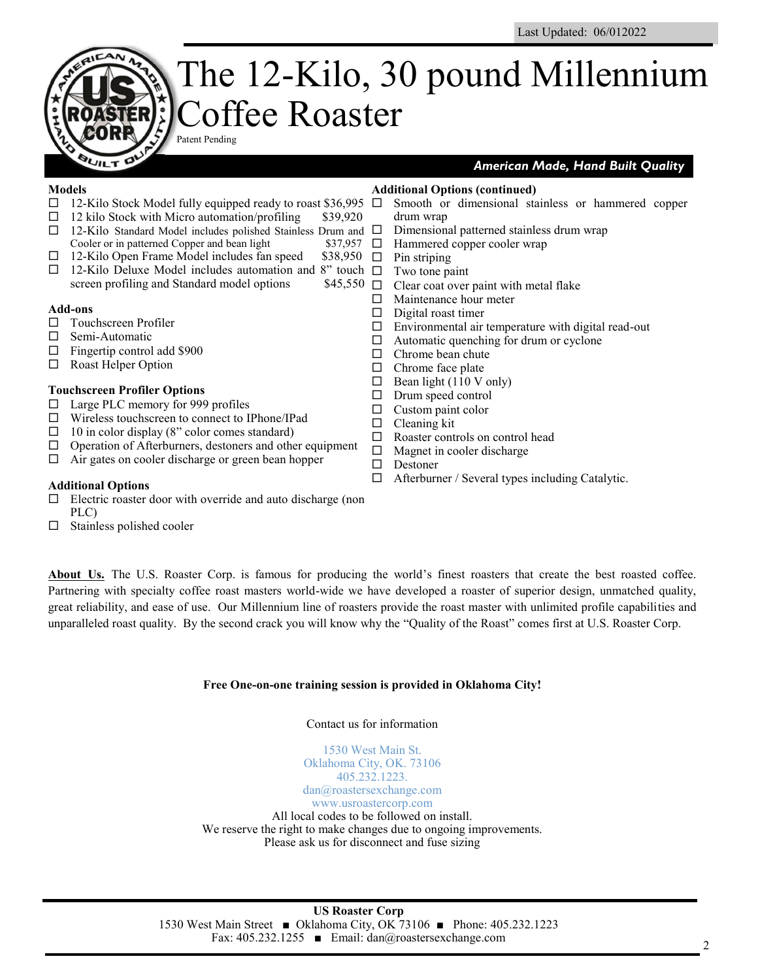# The 12-Kilo, 30 pound Millennium Coffee Roaster Patent Pending

#### **Models**

**QUILT D** 

### *American Made, Hand Built Quality*

- $\Box$  12-Kilo Stock Model fully equipped ready to roast \$36,995  $\Box$  $\Box$  12 kilo Stock with Micro automation/profiling \$39,920  $\Box$  12-Kilo Standard Model includes polished Stainless Drum and  $\Box$ Cooler or in patterned Copper and bean light  $$37,957$   $\Box$  $\Box$  12-Kilo Open Frame Model includes fan speed \$38,950  $\Box$  $\Box$  12-Kilo Deluxe Model includes automation and 8" touch  $\Box$ screen profiling and Standard model options  $$45,550$   $\Box$ **Add-ons** □ Touchscreen Profiler  $\Box$  Semi-Automatic  $\Box$  Fingertip control add \$900 □ Roast Helper Option **Touchscreen Profiler Options**  $\Box$  Large PLC memory for 999 profiles Wireless touchscreen to connect to IPhone/IPad  $\Box$  10 in color display (8" color comes standard)  $\Box$  Operation of Afterburners, destoners and other equipment  $\Box$  Air gates on cooler discharge or green bean hopper **Additional Options**  $\Box$  Electric roaster door with override and auto discharge (non **Additional Options (continued)** Smooth or dimensional stainless or hammered copper drum wrap Dimensional patterned stainless drum wrap Hammered copper cooler wrap Pin striping Two tone paint Clear coat over paint with metal flake  $\Box$  Maintenance hour meter  $\square$  Digital roast timer  $\square$  Environmental air temperature with digital read-out  $\Box$  Automatic quenching for drum or cyclone  $\Box$  Chrome bean chute  $\Box$  Chrome face plate  $\Box$  Bean light (110 V only)  $\square$  Drum speed control  $\Box$  Custom paint color  $\Box$  Cleaning kit □ Roaster controls on control head  $\Box$  Magnet in cooler discharge □ Destoner  $\Box$  Afterburner / Several types including Catalytic.
- PLC)
- $\square$  Stainless polished cooler

**About Us.** The U.S. Roaster Corp. is famous for producing the world's finest roasters that create the best roasted coffee. Partnering with specialty coffee roast masters world-wide we have developed a roaster of superior design, unmatched quality, great reliability, and ease of use. Our Millennium line of roasters provide the roast master with unlimited profile capabilities and unparalleled roast quality. By the second crack you will know why the "Quality of the Roast" comes first at U.S. Roaster Corp.

### **Free One-on-one training session is provided in Oklahoma City!**

#### Contact us for information

1530 West Main St. Oklahoma City, OK. 73106 405.232.1223.

dan@roastersexchange.com www.usroastercorp.com All local codes to be followed on install.

We reserve the right to make changes due to ongoing improvements. Please ask us for disconnect and fuse sizing